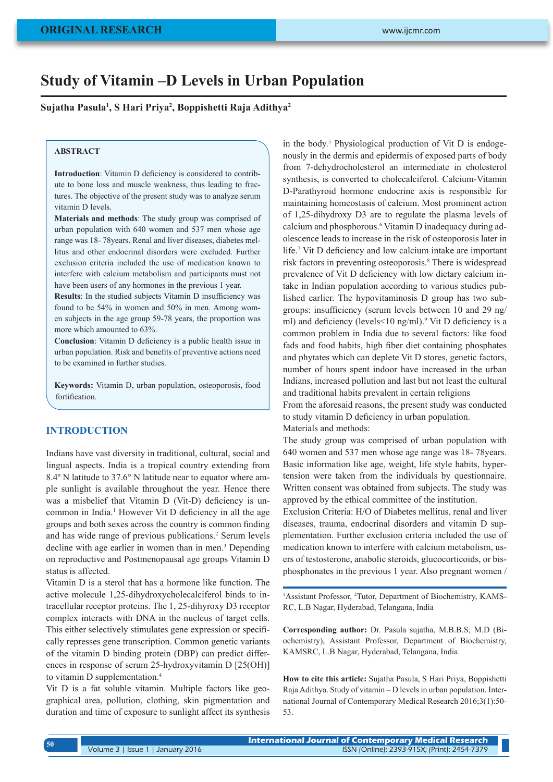# **Study of Vitamin –D Levels in Urban Population**

**Sujatha Pasula1 , S Hari Priya2 , Boppishetti Raja Adithya2**

#### **ABSTRACT**

**Introduction**: Vitamin D deficiency is considered to contribute to bone loss and muscle weakness, thus leading to fractures. The objective of the present study was to analyze serum vitamin D levels.

**Materials and methods**: The study group was comprised of urban population with 640 women and 537 men whose age range was 18- 78years. Renal and liver diseases, diabetes mellitus and other endocrinal disorders were excluded. Further exclusion criteria included the use of medication known to interfere with calcium metabolism and participants must not have been users of any hormones in the previous 1 year.

**Results**: In the studied subjects Vitamin D insufficiency was found to be 54% in women and 50% in men. Among women subjects in the age group 59-78 years, the proportion was more which amounted to 63%.

**Conclusion**: Vitamin D deficiency is a public health issue in urban population. Risk and benefits of preventive actions need to be examined in further studies.

**Keywords:** Vitamin D, urban population, osteoporosis, food fortification.

# **INTRODUCTION**

Indians have vast diversity in traditional, cultural, social and lingual aspects. India is a tropical country extending from 8.4º N latitude to 37.6° N latitude near to equator where ample sunlight is available throughout the year. Hence there was a misbelief that Vitamin D (Vit-D) deficiency is uncommon in India.<sup>1</sup> However Vit D deficiency in all the age groups and both sexes across the country is common finding and has wide range of previous publications.<sup>2</sup> Serum levels decline with age earlier in women than in men.<sup>3</sup> Depending on reproductive and Postmenopausal age groups Vitamin D status is affected.

Vitamin D is a sterol that has a hormone like function. The active molecule 1,25-dihydroxycholecalciferol binds to intracellular receptor proteins. The 1, 25-dihyroxy D3 receptor complex interacts with DNA in the nucleus of target cells. This either selectively stimulates gene expression or specifically represses gene transcription. Common genetic variants of the vitamin D binding protein (DBP) can predict differences in response of serum 25-hydroxyvitamin D [25(OH)] to vitamin D supplementation.<sup>4</sup>

Vit D is a fat soluble vitamin. Multiple factors like geographical area, pollution, clothing, skin pigmentation and duration and time of exposure to sunlight affect its synthesis

in the body.<sup>5</sup> Physiological production of Vit D is endogenously in the dermis and epidermis of exposed parts of body from 7-dehydrocholesterol an intermediate in cholesterol synthesis, is converted to cholecalciferol. Calcium-Vitamin D-Parathyroid hormone endocrine axis is responsible for maintaining homeostasis of calcium. Most prominent action of 1,25-dihydroxy D3 are to regulate the plasma levels of calcium and phosphorous.<sup>6</sup> Vitamin D inadequacy during adolescence leads to increase in the risk of osteoporosis later in life.7 Vit D deficiency and low calcium intake are important risk factors in preventing osteoporosis.<sup>8</sup> There is widespread prevalence of Vit D deficiency with low dietary calcium intake in Indian population according to various studies published earlier. The hypovitaminosis D group has two subgroups: insufficiency (serum levels between 10 and 29 ng/ ml) and deficiency (levels<10 ng/ml).<sup>9</sup> Vit D deficiency is a common problem in India due to several factors: like food fads and food habits, high fiber diet containing phosphates and phytates which can deplete Vit D stores, genetic factors, number of hours spent indoor have increased in the urban Indians, increased pollution and last but not least the cultural and traditional habits prevalent in certain religions

From the aforesaid reasons, the present study was conducted to study vitamin D deficiency in urban population. Materials and methods:

The study group was comprised of urban population with 640 women and 537 men whose age range was 18- 78years. Basic information like age, weight, life style habits, hypertension were taken from the individuals by questionnaire. Written consent was obtained from subjects. The study was approved by the ethical committee of the institution.

Exclusion Criteria: H/O of Diabetes mellitus, renal and liver diseases, trauma, endocrinal disorders and vitamin D supplementation. Further exclusion criteria included the use of medication known to interfere with calcium metabolism, users of testosterone, anabolic steroids, glucocorticoids, or bisphosphonates in the previous 1 year. Also pregnant women /

<sup>1</sup>Assistant Professor, <sup>2</sup>Tutor, Department of Biochemistry, KAMS-RC, L.B Nagar, Hyderabad, Telangana, India

**Corresponding author:** Dr. Pasula sujatha, M.B.B.S; M.D (Biochemistry), Assistant Professor, Department of Biochemistry, KAMSRC, L.B Nagar, Hyderabad, Telangana, India.

**How to cite this article:** Sujatha Pasula, S Hari Priya, Boppishetti Raja Adithya. Study of vitamin – D levels in urban population. International Journal of Contemporary Medical Research 2016;3(1):50- 53.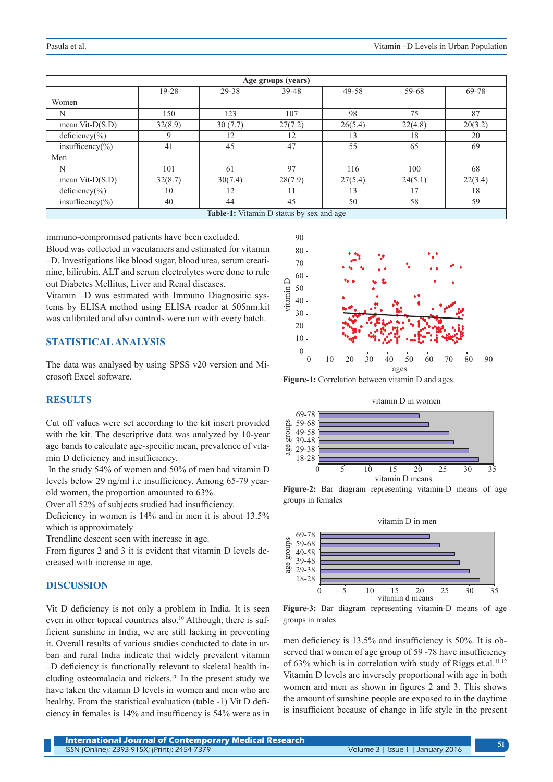| Age groups (years)                       |         |         |         |         |         |         |
|------------------------------------------|---------|---------|---------|---------|---------|---------|
|                                          | $19-28$ | 29-38   | 39-48   | 49-58   | 59-68   | 69-78   |
| Women                                    |         |         |         |         |         |         |
| N                                        | 150     | 123     | 107     | 98      | 75      | 87      |
| mean Vit- $D(S.D)$                       | 32(8.9) | 30(7.7) | 27(7.2) | 26(5.4) | 22(4.8) | 20(3.2) |
| $deficiency(\% )$                        | 9       | 12      | 12      | 13      | 18      | 20      |
| $\overline{\text{insufficency}}$ (%)     | 41      | 45      | 47      | 55      | 65      | 69      |
| Men                                      |         |         |         |         |         |         |
| N                                        | 101     | 61      | 97      | 116     | 100     | 68      |
| mean Vit- $D(S.D)$                       | 32(8.7) | 30(7.4) | 28(7.9) | 27(5.4) | 24(5.1) | 22(3.4) |
| deficiency(%)                            | 10      | 12      | 11      | 13      | 17      | 18      |
| insufficency( $\%$ )                     | 40      | 44      | 45      | 50      | 58      | 59      |
| Table-1: Vitamin D status by sex and age |         |         |         |         |         |         |

immuno-compromised patients have been excluded.

Blood was collected in vacutaniers and estimated for vitamin –D. Investigations like blood sugar, blood urea, serum creatinine, bilirubin, ALT and serum electrolytes were done to rule out Diabetes Mellitus, Liver and Renal diseases.

Vitamin –D was estimated with Immuno Diagnositic systems by ELISA method using ELISA reader at 505nm.kit was calibrated and also controls were run with every batch.

# **STATISTICAL ANALYSIS**

The data was analysed by using SPSS v20 version and Microsoft Excel software.

#### **RESULTS**

Cut off values were set according to the kit insert provided with the kit. The descriptive data was analyzed by 10-year age bands to calculate age-specific mean, prevalence of vitamin D deficiency and insufficiency.

 In the study 54% of women and 50% of men had vitamin D levels below 29 ng/ml i.e insufficiency. Among 65-79 yearold women, the proportion amounted to 63%.

Over all 52% of subjects studied had insufficiency.

Deficiency in women is 14% and in men it is about 13.5% which is approximately

Trendline descent seen with increase in age.

From figures 2 and 3 it is evident that vitamin D levels decreased with increase in age.

#### **DISCUSSION**

Vit D deficiency is not only a problem in India. It is seen even in other topical countries also.<sup>10</sup> Although, there is sufficient sunshine in India, we are still lacking in preventing it. Overall results of various studies conducted to date in urban and rural India indicate that widely prevalent vitamin –D deficiency is functionally relevant to skeletal health including osteomalacia and rickets.<sup>20</sup> In the present study we have taken the vitamin D levels in women and men who are healthy. From the statistical evaluation (table -1) Vit D deficiency in females is 14% and insufficency is 54% were as in



**Figure-1:** Correlation between vitamin D and ages.



**Figure-2:** Bar diagram representing vitamin-D means of age groups in females



**Figure-3:** Bar diagram representing vitamin-D means of age groups in males

men deficiency is 13.5% and insufficiency is 50%. It is observed that women of age group of 59 -78 have insufficiency of  $63\%$  which is in correlation with study of Riggs et.al.<sup>11,12</sup> Vitamin D levels are inversely proportional with age in both women and men as shown in figures 2 and 3. This shows the amount of sunshine people are exposed to in the daytime is insufficient because of change in life style in the present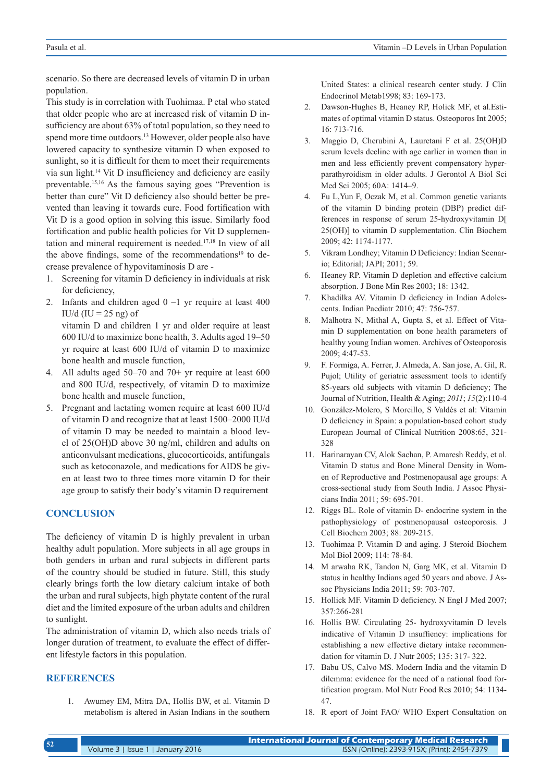scenario. So there are decreased levels of vitamin D in urban population.

This study is in correlation with Tuohimaa. P etal who stated that older people who are at increased risk of vitamin D insufficiency are about 63% of total population, so they need to spend more time outdoors.<sup>13</sup> However, older people also have lowered capacity to synthesize vitamin D when exposed to sunlight, so it is difficult for them to meet their requirements via sun light.14 Vit D insufficiency and deficiency are easily preventable.15,16 As the famous saying goes "Prevention is better than cure" Vit D deficiency also should better be prevented than leaving it towards cure. Food fortification with Vit D is a good option in solving this issue. Similarly food fortification and public health policies for Vit D supplementation and mineral requirement is needed.17,18 In view of all the above findings, some of the recommendations<sup>19</sup> to decrease prevalence of hypovitaminosis D are -

- 1. Screening for vitamin D deficiency in individuals at risk for deficiency,
- 2. Infants and children aged  $0 -1$  yr require at least 400 IU/d (IU =  $25$  ng) of

vitamin D and children 1 yr and older require at least 600 IU/d to maximize bone health, 3. Adults aged 19–50 yr require at least 600 IU/d of vitamin D to maximize bone health and muscle function,

- 4. All adults aged 50–70 and 70+ yr require at least 600 and 800 IU/d, respectively, of vitamin D to maximize bone health and muscle function,
- 5. Pregnant and lactating women require at least 600 IU/d of vitamin D and recognize that at least 1500–2000 IU/d of vitamin D may be needed to maintain a blood level of 25(OH)D above 30 ng/ml, children and adults on anticonvulsant medications, glucocorticoids, antifungals such as ketoconazole, and medications for AIDS be given at least two to three times more vitamin D for their age group to satisfy their body's vitamin D requirement

# **CONCLUSION**

The deficiency of vitamin D is highly prevalent in urban healthy adult population. More subjects in all age groups in both genders in urban and rural subjects in different parts of the country should be studied in future. Still, this study clearly brings forth the low dietary calcium intake of both the urban and rural subjects, high phytate content of the rural diet and the limited exposure of the urban adults and children to sunlight.

The administration of vitamin D, which also needs trials of longer duration of treatment, to evaluate the effect of different lifestyle factors in this population.

## **REFERENCES**

1. Awumey EM, Mitra DA, Hollis BW, et al. Vitamin D metabolism is altered in Asian Indians in the southern United States: a clinical research center study. J Clin Endocrinol Metab1998; 83: 169-173.

- 2. Dawson-Hughes B, Heaney RP, Holick MF, et al.Estimates of optimal vitamin D status. Osteoporos Int 2005; 16: 713-716.
- 3. Maggio D, Cherubini A, Lauretani F et al. 25(OH)D serum levels decline with age earlier in women than in men and less efficiently prevent compensatory hyperparathyroidism in older adults. J Gerontol A Biol Sci Med Sci 2005; 60A: 1414–9.
- 4. Fu L,Yun F, Oczak M, et al. Common genetic variants of the vitamin D binding protein (DBP) predict differences in response of serum 25-hydroxyvitamin D[ 25(OH)] to vitamin D supplementation. Clin Biochem 2009; 42: 1174-1177.
- 5. Vikram Londhey; Vitamin D Deficiency: Indian Scenario; Editorial; JAPI; 2011; 59.
- 6. Heaney RP. Vitamin D depletion and effective calcium absorption. J Bone Min Res 2003; 18: 1342.
- 7. Khadilka AV. Vitamin D deficiency in Indian Adolescents. Indian Paediatr 2010; 47: 756-757.
- 8. Malhotra N, Mithal A, Gupta S, et al. Effect of Vitamin D supplementation on bone health parameters of healthy young Indian women. Archives of Osteoporosis 2009; 4:47-53.
- 9. F. Formiga, A. Ferrer, J. Almeda, A. San jose, A. Gil, R. Pujol; Utility of geriatric assessment tools to identify 85-years old subjects with vitamin D deficiency; The Journal of Nutrition, Health & Aging; *2011*; *15*(2):110-4
- 10. González-Molero, S Morcillo, S Valdés et al: Vitamin D deficiency in Spain: a population-based cohort study European Journal of Clinical Nutrition 2008:65, 321- 328
- 11. Harinarayan CV, Alok Sachan, P. Amaresh Reddy, et al. Vitamin D status and Bone Mineral Density in Women of Reproductive and Postmenopausal age groups: A cross-sectional study from South India. J Assoc Physicians India 2011; 59: 695-701.
- 12. Riggs BL. Role of vitamin D- endocrine system in the pathophysiology of postmenopausal osteoporosis. J Cell Biochem 2003; 88: 209-215.
- 13. Tuohimaa P. Vitamin D and aging. J Steroid Biochem Mol Biol 2009; 114: 78-84.
- 14. M arwaha RK, Tandon N, Garg MK, et al. Vitamin D status in healthy Indians aged 50 years and above. J Assoc Physicians India 2011; 59: 703-707.
- 15. Hollick MF. Vitamin D deficiency. N Engl J Med 2007; 357:266-281
- 16. Hollis BW. Circulating 25- hydroxyvitamin D levels indicative of Vitamin D insuffiency: implications for establishing a new effective dietary intake recommendation for vitamin D. J Nutr 2005; 135: 317- 322.
- 17. Babu US, Calvo MS. Modern India and the vitamin D dilemma: evidence for the need of a national food fortification program. Mol Nutr Food Res 2010; 54: 1134- 47.
- 18. R eport of Joint FAO/ WHO Expert Consultation on